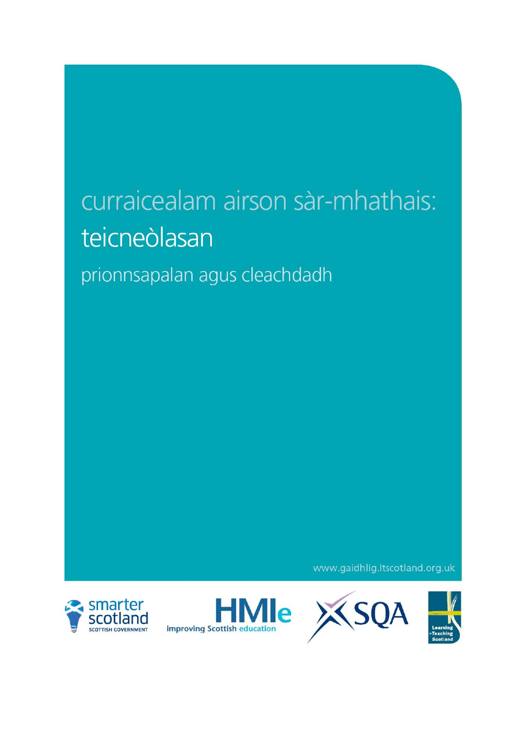# curraicealam airson sàr-mhathais: teicneòlasan

prionnsapalan agus cleachdadh

www.gaidhlig.ltscotland.org.uk







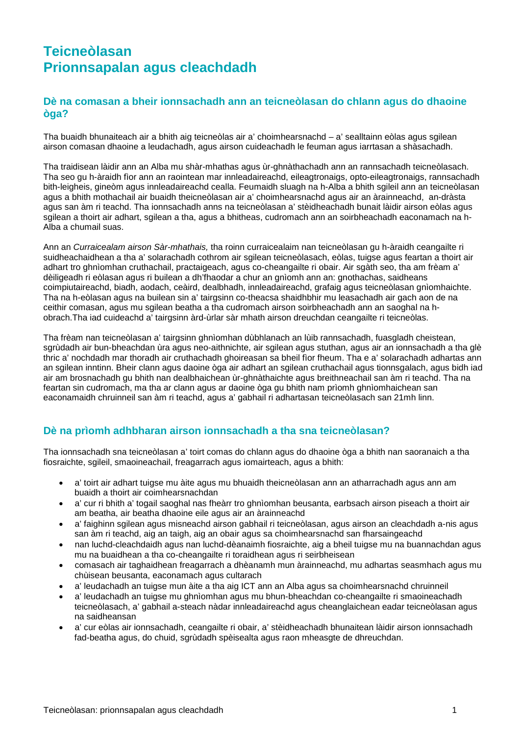# **Teicneòlasan Prionnsapalan agus cleachdadh**

## **Dè na comasan a bheir ionnsachadh ann an teicneòlasan do chlann agus do dhaoine òga?**

Tha buaidh bhunaiteach air a bhith aig teicneòlas air a' choimhearsnachd – a' sealltainn eòlas agus sgilean airson comasan dhaoine a leudachadh, agus airson cuideachadh le feuman agus iarrtasan a shàsachadh.

Tha traidisean làidir ann an Alba mu shàr-mhathas agus ùr-ghnàthachadh ann an rannsachadh teicneòlasach. Tha seo gu h-àraidh fìor ann an raointean mar innleadaireachd, eileagtronaigs, opto-eileagtronaigs, rannsachadh bith-leigheis, gineòm agus innleadaireachd cealla. Feumaidh sluagh na h-Alba a bhith sgileil ann an teicneòlasan agus a bhith mothachail air buaidh theicneòlasan air a' choimhearsnachd agus air an àrainneachd, an-dràsta agus san àm ri teachd. Tha ionnsachadh anns na teicneòlasan a' stèidheachadh bunait làidir airson eòlas agus sgilean a thoirt air adhart, sgilean a tha, agus a bhitheas, cudromach ann an soirbheachadh eaconamach na h-Alba a chumail suas.

Ann an *Curraicealam airson Sàr-mhathais,* tha roinn curraicealaim nan teicneòlasan gu h-àraidh ceangailte ri suidheachaidhean a tha a' solarachadh cothrom air sgilean teicneòlasach, eòlas, tuigse agus feartan a thoirt air adhart tro ghnìomhan cruthachail, practaigeach, agus co-cheangailte ri obair. Air sgàth seo, tha am frèam a' dèiligeadh ri eòlasan agus ri builean a dh'fhaodar a chur an gnìomh ann an: gnothachas, saidheans coimpiutaireachd, biadh, aodach, ceàird, dealbhadh, innleadaireachd, grafaig agus teicneòlasan gnìomhaichte. Tha na h-eòlasan agus na builean sin a' tairgsinn co-theacsa shaidhbhir mu leasachadh air gach aon de na ceithir comasan, agus mu sgilean beatha a tha cudromach airson soirbheachadh ann an saoghal na hobrach.Tha iad cuideachd a' tairgsinn àrd-ùrlar sàr mhath airson dreuchdan ceangailte ri teicneòlas.

Tha frèam nan teicneòlasan a' tairgsinn ghnìomhan dùbhlanach an lùib rannsachadh, fuasgladh cheistean, sgrùdadh air bun-bheachdan ùra agus neo-aithnichte, air sgilean agus stuthan, agus air an ionnsachadh a tha glè thric a' nochdadh mar thoradh air cruthachadh ghoireasan sa bheil fìor fheum. Tha e a' solarachadh adhartas ann an sgilean inntinn. Bheir clann agus daoine òga air adhart an sgilean cruthachail agus tionnsgalach, agus bidh iad air am brosnachadh gu bhith nan dealbhaichean ùr-ghnàthaichte agus breithneachail san àm ri teachd. Tha na feartan sin cudromach, ma tha ar clann agus ar daoine òga gu bhith nam prìomh ghnìomhaichean san eaconamaidh chruinneil san àm ri teachd, agus a' gabhail ri adhartasan teicneòlasach san 21mh linn.

# **Dè na prìomh adhbharan airson ionnsachadh a tha sna teicneòlasan?**

Tha ionnsachadh sna teicneòlasan a' toirt comas do chlann agus do dhaoine òga a bhith nan saoranaich a tha fiosraichte, sgileil, smaoineachail, freagarrach agus iomairteach, agus a bhith:

- a' toirt air adhart tuigse mu àite agus mu bhuaidh theicneòlasan ann an atharrachadh agus ann am buaidh a thoirt air coimhearsnachdan
- a' cur ri bhith a' togail saoghal nas fheàrr tro ghnìomhan beusanta, earbsach airson piseach a thoirt air am beatha, air beatha dhaoine eile agus air an àrainneachd
- a' faighinn sgilean agus misneachd airson gabhail ri teicneòlasan, agus airson an cleachdadh a-nis agus san àm ri teachd, aig an taigh, aig an obair agus sa choimhearsnachd san fharsaingeachd
- nan luchd-cleachdaidh agus nan luchd-dèanaimh fiosraichte, aig a bheil tuigse mu na buannachdan agus mu na buaidhean a tha co-cheangailte ri toraidhean agus ri seirbheisean
- comasach air taghaidhean freagarrach a dhèanamh mun àrainneachd, mu adhartas seasmhach agus mu chùisean beusanta, eaconamach agus cultarach
- a' leudachadh an tuigse mun àite a tha aig ICT ann an Alba agus sa choimhearsnachd chruinneil
- a' leudachadh an tuigse mu ghnìomhan agus mu bhun-bheachdan co-cheangailte ri smaoineachadh teicneòlasach, a' gabhail a-steach nàdar innleadaireachd agus cheanglaichean eadar teicneòlasan agus na saidheansan
- a' cur eòlas air ionnsachadh, ceangailte ri obair, a' stèidheachadh bhunaitean làidir airson ionnsachadh fad-beatha agus, do chuid, sgrùdadh spèisealta agus raon mheasgte de dhreuchdan.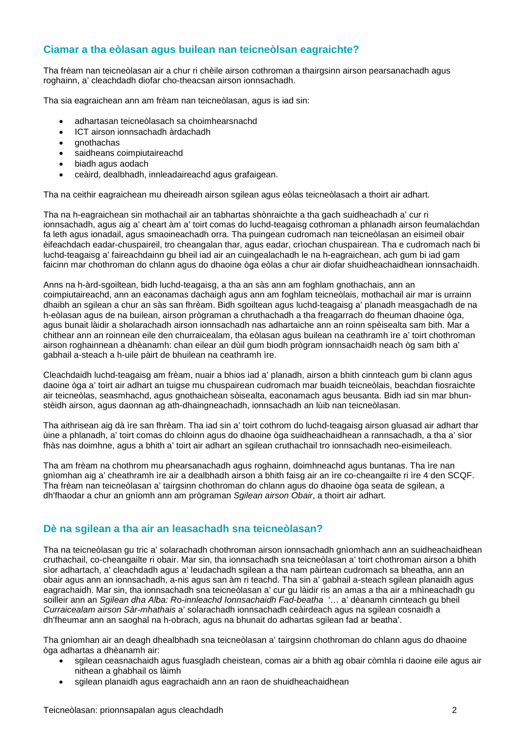# **Ciamar a tha eòlasan agus builean nan teicneòlsan eagraichte?**

Tha frèam nan teicneòlasan air a chur ri chèile airson cothroman a thairgsinn airson pearsanachadh agus roghainn, a' cleachdadh diofar cho-theacsan airson ionnsachadh.

Tha sia eagraichean ann am frèam nan teicneòlasan, agus is iad sin:

- adhartasan teicneòlasach sa choimhearsnachd
- ICT airson ionnsachadh àrdachadh
- gnothachas
- saidheans coimpiutaireachd
- biadh agus aodach
- ceàird, dealbhadh, innleadaireachd agus grafaigean.

Tha na ceithir eagraichean mu dheireadh airson sgilean agus eòlas teicneòlasach a thoirt air adhart.

Tha na h-eagraichean sin mothachail air an tabhartas shònraichte a tha gach suidheachadh a' cur ri ionnsachadh, agus aig a' cheart àm a' toirt comas do luchd-teagaisg cothroman a phlanadh airson feumalachdan fa leth agus ionadail, agus smaoineachadh orra. Tha puingean cudromach nan teicneòlasan an eisimeil obair èifeachdach eadar-chuspaireil, tro cheangalan thar, agus eadar, crìochan chuspairean. Tha e cudromach nach bi luchd-teagaisg a' faireachdainn gu bheil iad air an cuingealachadh le na h-eagraichean, ach gum bi iad gam faicinn mar chothroman do chlann agus do dhaoine òga eòlas a chur air diofar shuidheachaidhean ionnsachaidh.

Anns na h-àrd-sgoiltean, bidh luchd-teagaisg, a tha an sàs ann am foghlam gnothachais, ann an coimpiutaireachd, ann an eaconamas dachaigh agus ann am foghlam teicneòlais, mothachail air mar is urrainn dhaibh an sgilean a chur an sàs san fhrèam. Bidh sgoiltean agus luchd-teagaisg a' planadh measgachadh de na h-eòlasan agus de na builean, airson prògraman a chruthachadh a tha freagarrach do fheuman dhaoine òga, agus bunait làidir a sholarachadh airson ionnsachadh nas adhartaiche ann an roinn spèisealta sam bith. Mar a chithear ann an roinnean eile den churraicealam, tha eòlasan agus builean na ceathramh ìre a' toirt chothroman airson roghainnean a dhèanamh: chan eilear an dùil gum biodh prògram ionnsachaidh neach òg sam bith a' gabhail a-steach a h-uile pàirt de bhuilean na ceathramh ìre.

Cleachdaidh luchd-teagaisg am frèam, nuair a bhios iad a' planadh, airson a bhith cinnteach gum bi clann agus daoine òga a' toirt air adhart an tuigse mu chuspairean cudromach mar buaidh teicneòlais, beachdan fiosraichte air teicneòlas, seasmhachd, agus gnothaichean sòisealta, eaconamach agus beusanta. Bidh iad sin mar bhunstèidh airson, agus daonnan ag ath-dhaingneachadh, ionnsachadh an lùib nan teicneòlasan.

Tha aithrisean aig dà ìre san fhrèam. Tha iad sin a' toirt cothrom do luchd-teagaisg airson gluasad air adhart thar ùine a phlanadh, a' toirt comas do chloinn agus do dhaoine òga suidheachaidhean a rannsachadh, a tha a' sìor fhàs nas doimhne, agus a bhith a' toirt air adhart an sgilean cruthachail tro ionnsachadh neo-eisimeileach.

Tha am frèam na chothrom mu phearsanachadh agus roghainn, doimhneachd agus buntanas. Tha ìre nan gnìomhan aig a' cheathramh ìre air a dealbhadh airson a bhith faisg air an ìre co-cheangailte ri ìre 4 den SCQF. Tha frèam nan teicneòlasan a' tairgsinn chothroman do chlann agus do dhaoine òga seata de sgilean, a dh'fhaodar a chur an gnìomh ann am prògraman *Sgilean airson Obair*, a thoirt air adhart.

#### **Dè na sgilean a tha air an leasachadh sna teicneòlasan?**

Tha na teicneòlasan gu tric a' solarachadh chothroman airson ionnsachadh gnìomhach ann an suidheachaidhean cruthachail, co-cheangailte ri obair. Mar sin, tha ionnsachadh sna teicneòlasan a' toirt chothroman airson a bhith sìor adhartach, a' cleachdadh agus a' leudachadh sgilean a tha nam pàirtean cudromach sa bheatha, ann an obair agus ann an ionnsachadh, a-nis agus san àm ri teachd. Tha sin a' gabhail a-steach sgilean planaidh agus eagrachaidh. Mar sin, tha ionnsachadh sna teicneòlasan a' cur gu làidir ris an amas a tha air a mhìneachadh gu soilleir ann an *Sgilean dha Alba: Ro-innleachd Ionnsachaidh Fad-beatha* '… a' dèanamh cinnteach gu bheil *Curraicealam airson Sàr-mhathais* a' solarachadh ionnsachadh ceàirdeach agus na sgilean cosnaidh a dh'fheumar ann an saoghal na h-obrach, agus na bhunait do adhartas sgilean fad ar beatha'.

Tha gnìomhan air an deagh dhealbhadh sna teicneòlasan a' tairgsinn chothroman do chlann agus do dhaoine òga adhartas a dhèanamh air:

- sgilean ceasnachaidh agus fuasgladh cheistean, comas air a bhith ag obair còmhla ri daoine eile agus air nithean a ghabhail os làimh
- sgilean planaidh agus eagrachaidh ann an raon de shuidheachaidhean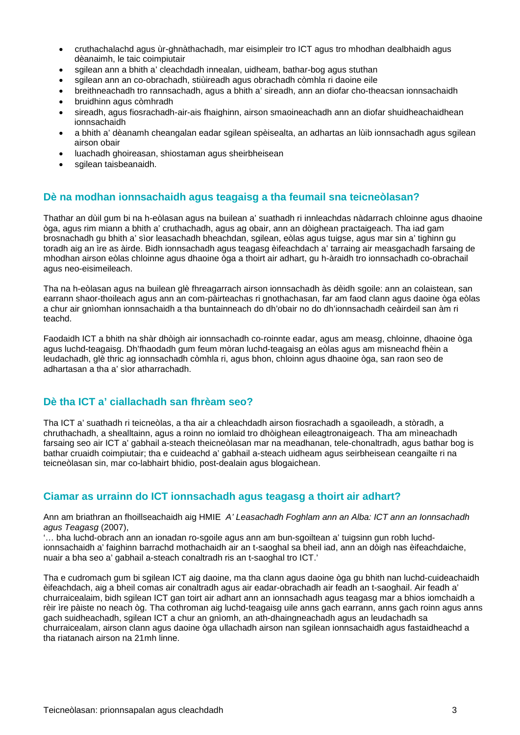- cruthachalachd agus ùr-ghnàthachadh, mar eisimpleir tro ICT agus tro mhodhan dealbhaidh agus dèanaimh, le taic coimpiutair
- sgilean ann a bhith a' cleachdadh innealan, uidheam, bathar-bog agus stuthan
- sgilean ann an co-obrachadh, stiùireadh agus obrachadh còmhla ri daoine eile
- breithneachadh tro rannsachadh, agus a bhith a' sireadh, ann an diofar cho-theacsan ionnsachaidh
- bruidhinn agus còmhradh
- sireadh, agus fiosrachadh-air-ais fhaighinn, airson smaoineachadh ann an diofar shuidheachaidhean ionnsachaidh
- a bhith a' dèanamh cheangalan eadar sgilean spèisealta, an adhartas an lùib ionnsachadh agus sgilean airson obair
- luachadh ghoireasan, shiostaman agus sheirbheisean
- sgilean taisbeanaidh.

### **Dè na modhan ionnsachaidh agus teagaisg a tha feumail sna teicneòlasan?**

Thathar an dùil gum bi na h-eòlasan agus na builean a' suathadh ri innleachdas nàdarrach chloinne agus dhaoine òga, agus rim miann a bhith a' cruthachadh, agus ag obair, ann an dòighean practaigeach. Tha iad gam brosnachadh gu bhith a' sìor leasachadh bheachdan, sgilean, eòlas agus tuigse, agus mar sin a' tighinn gu toradh aig an ìre as àirde. Bidh ionnsachadh agus teagasg èifeachdach a' tarraing air measgachadh farsaing de mhodhan airson eòlas chloinne agus dhaoine òga a thoirt air adhart, gu h-àraidh tro ionnsachadh co-obrachail agus neo-eisimeileach.

Tha na h-eòlasan agus na builean glè fhreagarrach airson ionnsachadh às dèidh sgoile: ann an colaistean, san earrann shaor-thoileach agus ann an com-pàirteachas ri gnothachasan, far am faod clann agus daoine òga eòlas a chur air gnìomhan ionnsachaidh a tha buntainneach do dh'obair no do dh'ionnsachadh ceàirdeil san àm ri teachd.

Faodaidh ICT a bhith na shàr dhòigh air ionnsachadh co-roinnte eadar, agus am measg, chloinne, dhaoine òga agus luchd-teagaisg. Dh'fhaodadh gum feum mòran luchd-teagaisg an eòlas agus am misneachd fhèin a leudachadh, glè thric ag ionnsachadh còmhla ri, agus bhon, chloinn agus dhaoine òga, san raon seo de adhartasan a tha a' sìor atharrachadh.

#### **Dè tha ICT a' ciallachadh san fhrèam seo?**

Tha ICT a' suathadh ri teicneòlas, a tha air a chleachdadh airson fiosrachadh a sgaoileadh, a stòradh, a chruthachadh, a shealltainn, agus a roinn no iomlaid tro dhòighean eileagtronaigeach. Tha am mìneachadh farsaing seo air ICT a' gabhail a-steach theicneòlasan mar na meadhanan, tele-chonaltradh, agus bathar bog is bathar cruaidh coimpiutair; tha e cuideachd a' gabhail a-steach uidheam agus seirbheisean ceangailte ri na teicneòlasan sin, mar co-labhairt bhidio, post-dealain agus blogaichean.

# **Ciamar as urrainn do ICT ionnsachadh agus teagasg a thoirt air adhart?**

Ann am briathran an fhoillseachaidh aig HMIE *A' Leasachadh Foghlam ann an Alba: ICT ann an Ionnsachadh agus Teagasg* (2007),

'… bha luchd-obrach ann an ionadan ro-sgoile agus ann am bun-sgoiltean a' tuigsinn gun robh luchdionnsachaidh a' faighinn barrachd mothachaidh air an t-saoghal sa bheil iad, ann an dòigh nas èifeachdaiche, nuair a bha seo a' gabhail a-steach conaltradh ris an t-saoghal tro ICT.'

Tha e cudromach gum bi sgilean ICT aig daoine, ma tha clann agus daoine òga gu bhith nan luchd-cuideachaidh èifeachdach, aig a bheil comas air conaltradh agus air eadar-obrachadh air feadh an t-saoghail. Air feadh a' churraicealaim, bidh sgilean ICT gan toirt air adhart ann an ionnsachadh agus teagasg mar a bhios iomchaidh a rèir ìre pàiste no neach òg. Tha cothroman aig luchd-teagaisg uile anns gach earrann, anns gach roinn agus anns gach suidheachadh, sgilean ICT a chur an gnìomh, an ath-dhaingneachadh agus an leudachadh sa churraicealam, airson clann agus daoine òga ullachadh airson nan sgilean ionnsachaidh agus fastaidheachd a tha riatanach airson na 21mh linne.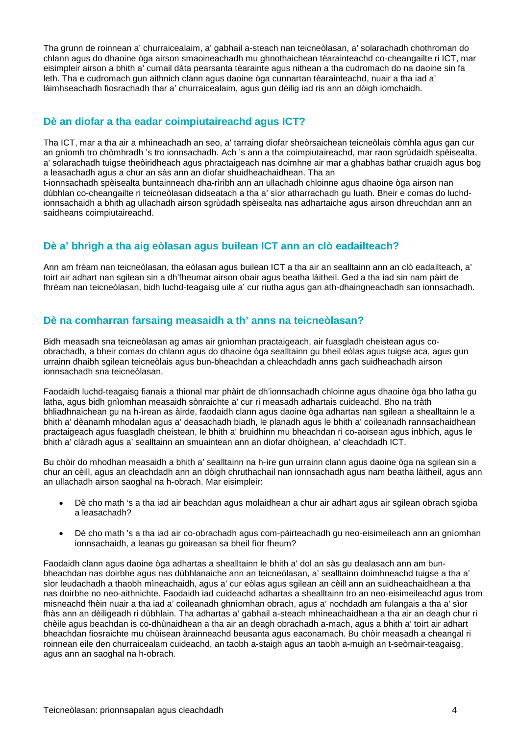Tha grunn de roinnean a' churraicealaim, a' gabhail a-steach nan teicneòlasan, a' solarachadh chothroman do chlann agus do dhaoine òga airson smaoineachadh mu ghnothaichean tèarainteachd co-cheangailte ri ICT, mar eisimpleir airson a bhith a' cumail dàta pearsanta tèarainte agus nithean a tha cudromach do na daoine sin fa leth. Tha e cudromach gun aithnich clann agus daoine òga cunnartan tèarainteachd, nuair a tha iad a' làimhseachadh fiosrachadh thar a' churraicealaim, agus gun dèilig iad ris ann an dòigh iomchaidh.

## **Dè an diofar a tha eadar coimpiutaireachd agus ICT?**

Tha ICT, mar a tha air a mhìneachadh an seo, a' tarraing diofar sheòrsaichean teicneòlais còmhla agus gan cur an gnìomh tro chòmhradh 's tro ionnsachadh. Ach 's ann a tha coimpiutaireachd, mar raon sgrùdaidh spèisealta, a' solarachadh tuigse theòiridheach agus phractaigeach nas doimhne air mar a ghabhas bathar cruaidh agus bog a leasachadh agus a chur an sàs ann an diofar shuidheachaidhean. Tha an

t-ionnsachadh spèisealta buntainneach dha-rìribh ann an ullachadh chloinne agus dhaoine òga airson nan dùbhlan co-cheangailte ri teicneòlasan didseatach a tha a' sìor atharrachadh gu luath. Bheir e comas do luchdionnsachaidh a bhith ag ullachadh airson sgrùdadh spèisealta nas adhartaiche agus airson dhreuchdan ann an saidheans coimpiutaireachd.

# **Dè a' bhrìgh a tha aig eòlasan agus builean ICT ann an clò eadailteach?**

Ann am frèam nan teicneòlasan, tha eòlasan agus builean ICT a tha air an sealltainn ann an clò eadailteach, a' toirt air adhart nan sgilean sin a dh'fheumar airson obair agus beatha làitheil. Ged a tha iad sin nam pàirt de fhrèam nan teicneòlasan, bidh luchd-teagaisg uile a' cur riutha agus gan ath-dhaingneachadh san ionnsachadh.

# **Dè na comharran farsaing measaidh a th' anns na teicneòlasan?**

Bidh measadh sna teicneòlasan ag amas air gnìomhan practaigeach, air fuasgladh cheistean agus coobrachadh, a bheir comas do chlann agus do dhaoine òga sealltainn gu bheil eòlas agus tuigse aca, agus gun urrainn dhaibh sgilean teicneòlais agus bun-bheachdan a chleachdadh anns gach suidheachadh airson ionnsachadh sna teicneòlasan.

Faodaidh luchd-teagaisg fianais a thional mar phàirt de dh'ionnsachadh chloinne agus dhaoine òga bho latha gu latha, agus bidh gnìomhan measaidh sònraichte a' cur ri measadh adhartais cuideachd. Bho na tràth bhliadhnaichean gu na h-ìrean as àirde, faodaidh clann agus daoine òga adhartas nan sgilean a shealltainn le a bhith a' dèanamh mhodalan agus a' deasachadh biadh, le planadh agus le bhith a' coileanadh rannsachaidhean practaigeach agus fuasgladh cheistean, le bhith a' bruidhinn mu bheachdan ri co-aoisean agus inbhich, agus le bhith a' clàradh agus a' sealltainn an smuaintean ann an diofar dhòighean, a' cleachdadh ICT.

Bu chòir do mhodhan measaidh a bhith a' sealltainn na h-ìre gun urrainn clann agus daoine òga na sgilean sin a chur an cèill, agus an cleachdadh ann an dòigh chruthachail nan ionnsachadh agus nam beatha làitheil, agus ann an ullachadh airson saoghal na h-obrach. Mar eisimpleir:

- Dè cho math 's a tha iad air beachdan agus molaidhean a chur air adhart agus air sgilean obrach sgioba a leasachadh?
- Dè cho math 's a tha iad air co-obrachadh agus com-pàirteachadh gu neo-eisimeileach ann an gnìomhan ionnsachaidh, a leanas gu goireasan sa bheil fìor fheum?

Faodaidh clann agus daoine òga adhartas a shealltainn le bhith a' dol an sàs gu dealasach ann am bunbheachdan nas doirbhe agus nas dùbhlanaiche ann an teicneòlasan, a' sealltainn doimhneachd tuigse a tha a' sìor leudachadh a thaobh mìneachaidh, agus a' cur eòlas agus sgilean an cèill ann an suidheachaidhean a tha nas doirbhe no neo-aithnichte. Faodaidh iad cuideachd adhartas a shealltainn tro an neo-eisimeileachd agus trom misneachd fhèin nuair a tha iad a' coileanadh ghnìomhan obrach, agus a' nochdadh am fulangais a tha a' sìor fhàs ann an dèiligeadh ri dùbhlain. Tha adhartas a' gabhail a-steach mhìneachaidhean a tha air an deagh chur ri chèile agus beachdan is co-dhùnaidhean a tha air an deagh obrachadh a-mach, agus a bhith a' toirt air adhart bheachdan fiosraichte mu chùisean àrainneachd beusanta agus eaconamach. Bu chòir measadh a cheangal ri roinnean eile den churraicealam cuideachd, an taobh a-staigh agus an taobh a-muigh an t-seòmair-teagaisg, agus ann an saoghal na h-obrach.